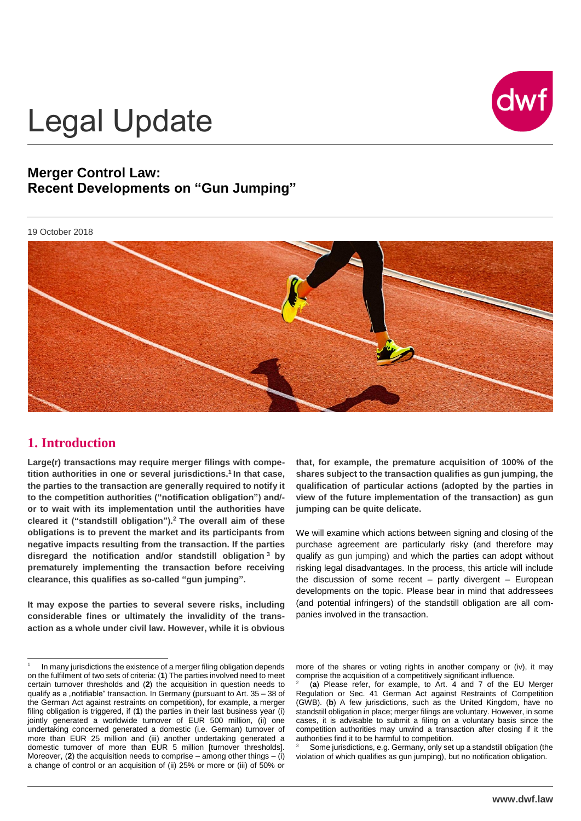

# Legal Update

# **Merger Control Law: Recent Developments on "Gun Jumping"**

#### 19 October 2018



### **1. Introduction**

 $\overline{a}$ 

**Large(r) transactions may require merger filings with competition authorities in one or several jurisdictions.<sup>1</sup> In that case, the parties to the transaction are generally required to notify it to the competition authorities ("notification obligation") and/ or to wait with its implementation until the authorities have cleared it ("standstill obligation"). <sup>2</sup> The overall aim of these obligations is to prevent the market and its participants from negative impacts resulting from the transaction. If the parties disregard the notification and/or standstill obligation <sup>3</sup> by prematurely implementing the transaction before receiving clearance, this qualifies as so-called "gun jumping".** 

**It may expose the parties to several severe risks, including considerable fines or ultimately the invalidity of the transaction as a whole under civil law. However, while it is obvious**

1 In many jurisdictions the existence of a merger filing obligation depends on the fulfilment of two sets of criteria: (**1**) The parties involved need to meet certain turnover thresholds and (**2**) the acquisition in question needs to qualify as a "notifiable" transaction. In Germany (pursuant to Art. 35 - 38 of the German Act against restraints on competition), for example, a merger filing obligation is triggered, if (**1**) the parties in their last business year (i) jointly generated a worldwide turnover of EUR 500 million, (ii) one undertaking concerned generated a domestic (i.e. German) turnover of more than EUR 25 million and (iii) another undertaking generated a domestic turnover of more than EUR 5 million [turnover thresholds]. Moreover,  $(2)$  the acquisition needs to comprise – among other things –  $(i)$ a change of control or an acquisition of (ii) 25% or more or (iii) of 50% or

**that, for example, the premature acquisition of 100% of the shares subject to the transaction qualifies as gun jumping, the qualification of particular actions (adopted by the parties in view of the future implementation of the transaction) as gun jumping can be quite delicate.** 

We will examine which actions between signing and closing of the purchase agreement are particularly risky (and therefore may qualify as gun jumping) and which the parties can adopt without risking legal disadvantages. In the process, this article will include the discussion of some recent  $-$  partly divergent  $-$  European developments on the topic. Please bear in mind that addressees (and potential infringers) of the standstill obligation are all companies involved in the transaction.

more of the shares or voting rights in another company or (iv), it may comprise the acquisition of a competitively significant influence.

2 (**a**) Please refer, for example, to Art. 4 and 7 of the EU Merger Regulation or Sec. 41 German Act against Restraints of Competition (GWB). (**b**) A few jurisdictions, such as the United Kingdom, have no standstill obligation in place; merger filings are voluntary. However, in some cases, it is advisable to submit a filing on a voluntary basis since the competition authorities may unwind a transaction after closing if it the authorities find it to be harmful to competition.

Some jurisdictions, e.g. Germany, only set up a standstill obligation (the violation of which qualifies as gun jumping), but no notification obligation.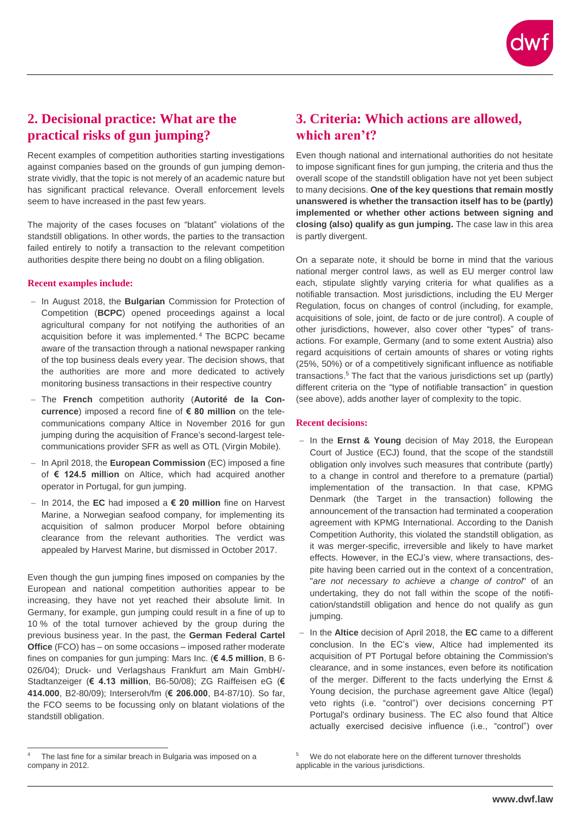

# **2. Decisional practice: What are the practical risks of gun jumping?**

Recent examples of competition authorities starting investigations against companies based on the grounds of gun jumping demonstrate vividly, that the topic is not merely of an academic nature but has significant practical relevance. Overall enforcement levels seem to have increased in the past few years.

The majority of the cases focuses on "blatant" violations of the standstill obligations. In other words, the parties to the transaction failed entirely to notify a transaction to the relevant competition authorities despite there being no doubt on a filing obligation.

#### **Recent examples include:**

- In August 2018, the **Bulgarian** Commission for Protection of Competition (**BCPC**) opened proceedings against a local agricultural company for not notifying the authorities of an acquisition before it was implemented. <sup>4</sup> The BCPC became aware of the transaction through a national newspaper ranking of the top business deals every year. The decision shows, that the authorities are more and more dedicated to actively monitoring business transactions in their respective country
- The **French** competition authority (**Autorité de la Concurrence**) imposed a record fine of **€ 80 million** on the telecommunications company Altice in November 2016 for gun jumping during the acquisition of France's second-largest telecommunications provider SFR as well as OTL (Virgin Mobile).
- In April 2018, the **European Commission** (EC) imposed a fine of **€ 124.5 mill**i**on** on Altice, which had acquired another operator in Portugal, for gun jumping.
- In 2014, the **EC** had imposed a **€ 20 million** fine on Harvest Marine, a Norwegian seafood company, for implementing its acquisition of salmon producer Morpol before obtaining clearance from the relevant authorities. The verdict was appealed by Harvest Marine, but dismissed in October 2017.

Even though the gun jumping fines imposed on companies by the European and national competition authorities appear to be increasing, they have not yet reached their absolute limit. In Germany, for example, gun jumping could result in a fine of up to 10 % of the total turnover achieved by the group during the previous business year. In the past, the **German Federal Cartel Office** (FCO) has – on some occasions – imposed rather moderate fines on companies for gun jumping: Mars Inc. (**€ 4.5 million**, B 6- 026/04); Druck- und Verlagshaus Frankfurt am Main GmbH/- Stadtanzeiger (**€ 4.13 million**, B6-50/08); ZG Raiffeisen eG (**€ 414.000**, B2-80/09); Interseroh/fm (**€ 206.000**, B4-87/10). So far, the FCO seems to be focussing only on blatant violations of the standstill obligation.

Even though national and international authorities do not hesitate to impose significant fines for gun jumping, the criteria and thus the overall scope of the standstill obligation have not yet been subject to many decisions. **One of the key questions that remain mostly unanswered is whether the transaction itself has to be (partly) implemented or whether other actions between signing and closing (also) qualify as gun jumping.** The case law in this area is partly divergent.

On a separate note, it should be borne in mind that the various national merger control laws, as well as EU merger control law each, stipulate slightly varying criteria for what qualifies as a notifiable transaction. Most jurisdictions, including the EU Merger Regulation, focus on changes of control (including, for example, acquisitions of sole, joint, de facto or de jure control). A couple of other jurisdictions, however, also cover other "types" of transactions. For example, Germany (and to some extent Austria) also regard acquisitions of certain amounts of shares or voting rights (25%, 50%) or of a competitively significant influence as notifiable transactions. <sup>5</sup> The fact that the various jurisdictions set up (partly) different criteria on the "type of notifiable transaction" in question (see above), adds another layer of complexity to the topic.

### **Recent decisions:**

- In the **Ernst & Young** decision of May 2018, the European Court of Justice (ECJ) found, that the scope of the standstill obligation only involves such measures that contribute (partly) to a change in control and therefore to a premature (partial) implementation of the transaction. In that case, KPMG Denmark (the Target in the transaction) following the announcement of the transaction had terminated a cooperation agreement with KPMG International. According to the Danish Competition Authority, this violated the standstill obligation, as it was merger-specific, irreversible and likely to have market effects. However, in the ECJ's view, where transactions, despite having been carried out in the context of a concentration, "*are not necessary to achieve a change of control*" of an undertaking, they do not fall within the scope of the notification/standstill obligation and hence do not qualify as gun jumping.
- In the **Altice** decision of April 2018, the **EC** came to a different conclusion. In the EC's view, Altice had implemented its acquisition of PT Portugal before obtaining the Commission's clearance, and in some instances, even before its notification of the merger. Different to the facts underlying the Ernst & Young decision, the purchase agreement gave Altice (legal) veto rights (i.e. "control") over decisions concerning PT Portugal's ordinary business. The EC also found that Altice actually exercised decisive influence (i.e., "control") over

 $\overline{a}$ 

**<sup>3.</sup> Criteria: Which actions are allowed, which aren't?**

The last fine for a similar breach in Bulgaria was imposed on a company in 2012.

<sup>5</sup> We do not elaborate here on the different turnover thresholds applicable in the various jurisdictions.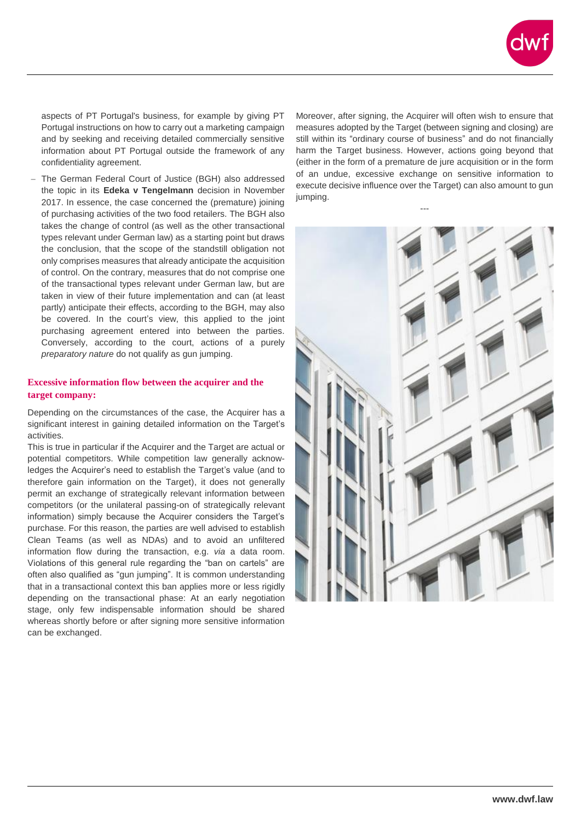

aspects of PT Portugal's business, for example by giving PT Portugal instructions on how to carry out a marketing campaign and by seeking and receiving detailed commercially sensitive information about PT Portugal outside the framework of any confidentiality agreement.

 The German Federal Court of Justice (BGH) also addressed the topic in its **Edeka v Tengelmann** decision in November 2017. In essence, the case concerned the (premature) joining of purchasing activities of the two food retailers. The BGH also takes the change of control (as well as the other transactional types relevant under German law) as a starting point but draws the conclusion, that the scope of the standstill obligation not only comprises measures that already anticipate the acquisition of control. On the contrary, measures that do not comprise one of the transactional types relevant under German law, but are taken in view of their future implementation and can (at least partly) anticipate their effects, according to the BGH, may also be covered. In the court's view, this applied to the joint purchasing agreement entered into between the parties. Conversely, according to the court, actions of a purely *preparatory nature* do not qualify as gun jumping.

### **Excessive information flow between the acquirer and the target company:**

Depending on the circumstances of the case, the Acquirer has a significant interest in gaining detailed information on the Target's activities.

This is true in particular if the Acquirer and the Target are actual or potential competitors. While competition law generally acknowledges the Acquirer's need to establish the Target's value (and to therefore gain information on the Target), it does not generally permit an exchange of strategically relevant information between competitors (or the unilateral passing-on of strategically relevant information) simply because the Acquirer considers the Target's purchase. For this reason, the parties are well advised to establish Clean Teams (as well as NDAs) and to avoid an unfiltered information flow during the transaction, e.g. *via* a data room. Violations of this general rule regarding the "ban on cartels" are often also qualified as "gun jumping". It is common understanding that in a transactional context this ban applies more or less rigidly depending on the transactional phase: At an early negotiation stage, only few indispensable information should be shared whereas shortly before or after signing more sensitive information can be exchanged.

Moreover, after signing, the Acquirer will often wish to ensure that measures adopted by the Target (between signing and closing) are still within its "ordinary course of business" and do not financially harm the Target business. However, actions going beyond that (either in the form of a premature de jure acquisition or in the form of an undue, excessive exchange on sensitive information to execute decisive influence over the Target) can also amount to gun jumping.

---